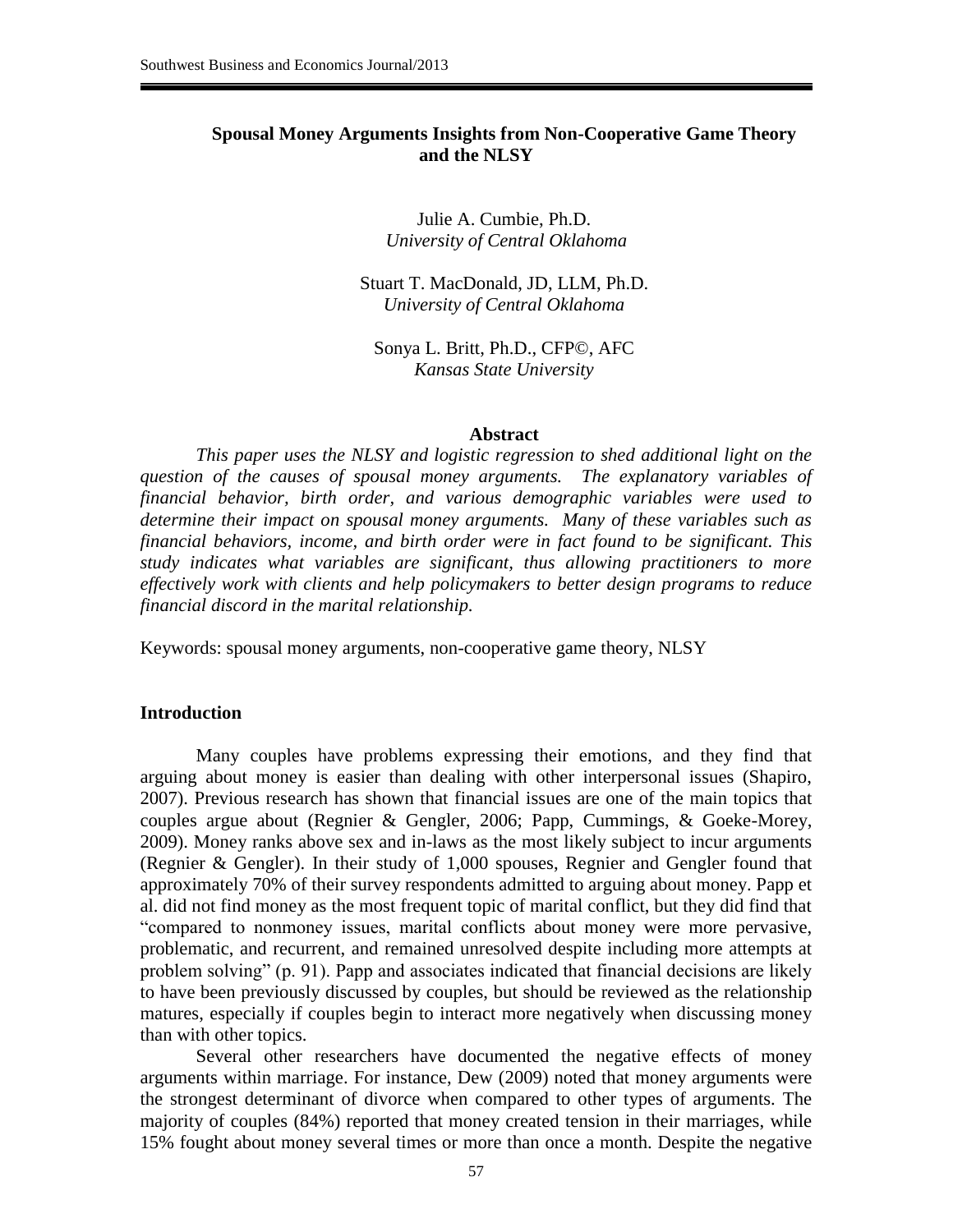### **Spousal Money Arguments Insights from Non-Cooperative Game Theory and the NLSY**

Julie A. Cumbie, Ph.D. *University of Central Oklahoma*

Stuart T. MacDonald, JD, LLM, Ph.D. *University of Central Oklahoma*

Sonya L. Britt, Ph.D., CFP©, AFC *Kansas State University*

#### **Abstract**

*This paper uses the NLSY and logistic regression to shed additional light on the question of the causes of spousal money arguments. The explanatory variables of financial behavior, birth order, and various demographic variables were used to determine their impact on spousal money arguments. Many of these variables such as financial behaviors, income, and birth order were in fact found to be significant. This study indicates what variables are significant, thus allowing practitioners to more effectively work with clients and help policymakers to better design programs to reduce financial discord in the marital relationship.*

Keywords: spousal money arguments, non-cooperative game theory, NLSY

#### **Introduction**

Many couples have problems expressing their emotions, and they find that arguing about money is easier than dealing with other interpersonal issues (Shapiro, 2007). Previous research has shown that financial issues are one of the main topics that couples argue about (Regnier & Gengler, 2006; Papp, Cummings, & Goeke-Morey, 2009). Money ranks above sex and in-laws as the most likely subject to incur arguments (Regnier & Gengler). In their study of 1,000 spouses, Regnier and Gengler found that approximately 70% of their survey respondents admitted to arguing about money. Papp et al. did not find money as the most frequent topic of marital conflict, but they did find that "compared to nonmoney issues, marital conflicts about money were more pervasive, problematic, and recurrent, and remained unresolved despite including more attempts at problem solving" (p. 91). Papp and associates indicated that financial decisions are likely to have been previously discussed by couples, but should be reviewed as the relationship matures, especially if couples begin to interact more negatively when discussing money than with other topics.

Several other researchers have documented the negative effects of money arguments within marriage. For instance, Dew (2009) noted that money arguments were the strongest determinant of divorce when compared to other types of arguments. The majority of couples (84%) reported that money created tension in their marriages, while 15% fought about money several times or more than once a month. Despite the negative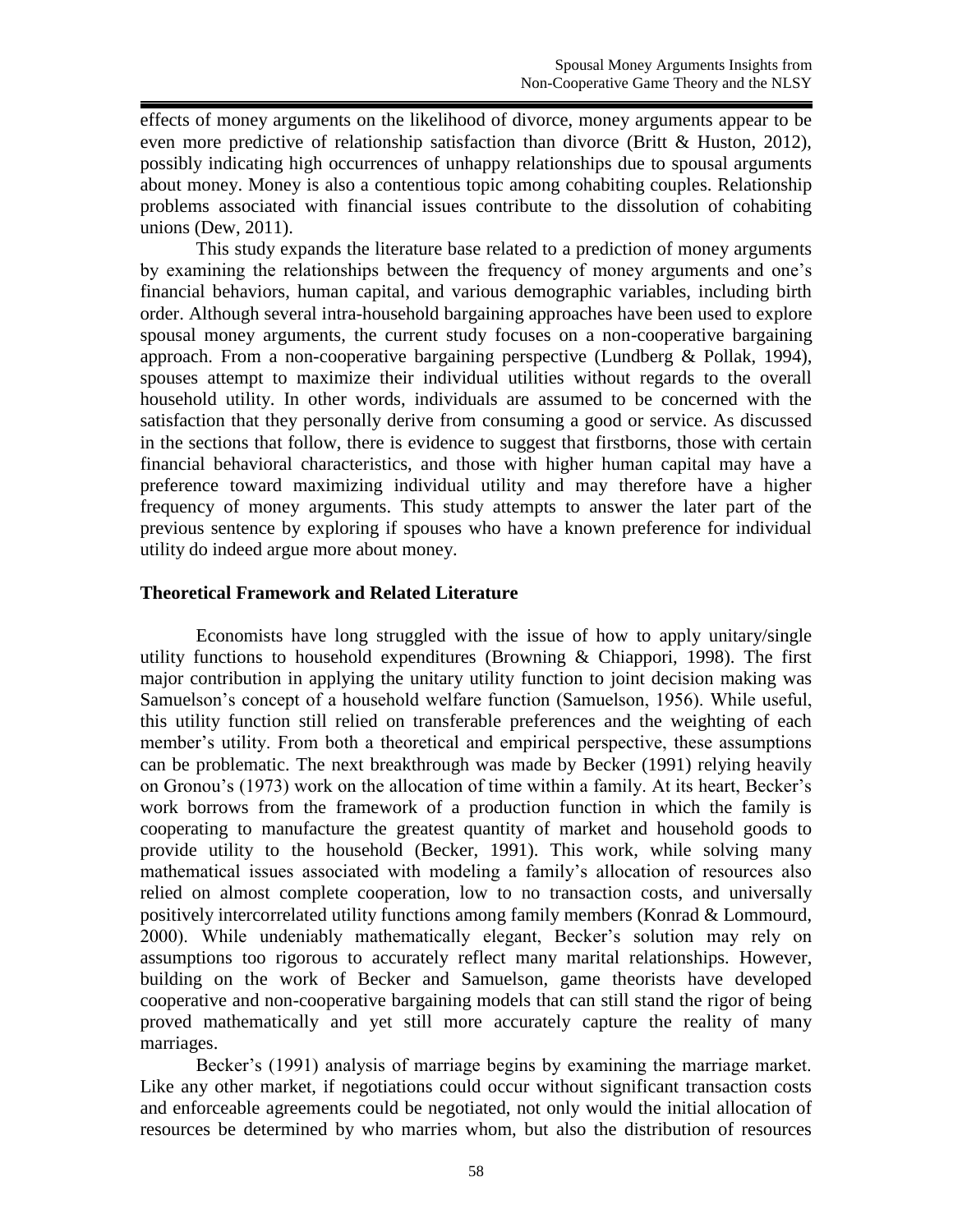effects of money arguments on the likelihood of divorce, money arguments appear to be even more predictive of relationship satisfaction than divorce (Britt & Huston, 2012), possibly indicating high occurrences of unhappy relationships due to spousal arguments about money. Money is also a contentious topic among cohabiting couples. Relationship problems associated with financial issues contribute to the dissolution of cohabiting unions (Dew, 2011).

This study expands the literature base related to a prediction of money arguments by examining the relationships between the frequency of money arguments and one's financial behaviors, human capital, and various demographic variables, including birth order. Although several intra-household bargaining approaches have been used to explore spousal money arguments, the current study focuses on a non-cooperative bargaining approach. From a non-cooperative bargaining perspective (Lundberg & Pollak, 1994), spouses attempt to maximize their individual utilities without regards to the overall household utility. In other words, individuals are assumed to be concerned with the satisfaction that they personally derive from consuming a good or service. As discussed in the sections that follow, there is evidence to suggest that firstborns, those with certain financial behavioral characteristics, and those with higher human capital may have a preference toward maximizing individual utility and may therefore have a higher frequency of money arguments. This study attempts to answer the later part of the previous sentence by exploring if spouses who have a known preference for individual utility do indeed argue more about money.

## **Theoretical Framework and Related Literature**

Economists have long struggled with the issue of how to apply unitary/single utility functions to household expenditures (Browning  $\&$  Chiappori, 1998). The first major contribution in applying the unitary utility function to joint decision making was Samuelson's concept of a household welfare function (Samuelson, 1956). While useful, this utility function still relied on transferable preferences and the weighting of each member's utility. From both a theoretical and empirical perspective, these assumptions can be problematic. The next breakthrough was made by Becker (1991) relying heavily on Gronou's (1973) work on the allocation of time within a family. At its heart, Becker's work borrows from the framework of a production function in which the family is cooperating to manufacture the greatest quantity of market and household goods to provide utility to the household (Becker, 1991). This work, while solving many mathematical issues associated with modeling a family's allocation of resources also relied on almost complete cooperation, low to no transaction costs, and universally positively intercorrelated utility functions among family members (Konrad & Lommourd, 2000). While undeniably mathematically elegant, Becker's solution may rely on assumptions too rigorous to accurately reflect many marital relationships. However, building on the work of Becker and Samuelson, game theorists have developed cooperative and non-cooperative bargaining models that can still stand the rigor of being proved mathematically and yet still more accurately capture the reality of many marriages.

Becker's (1991) analysis of marriage begins by examining the marriage market. Like any other market, if negotiations could occur without significant transaction costs and enforceable agreements could be negotiated, not only would the initial allocation of resources be determined by who marries whom, but also the distribution of resources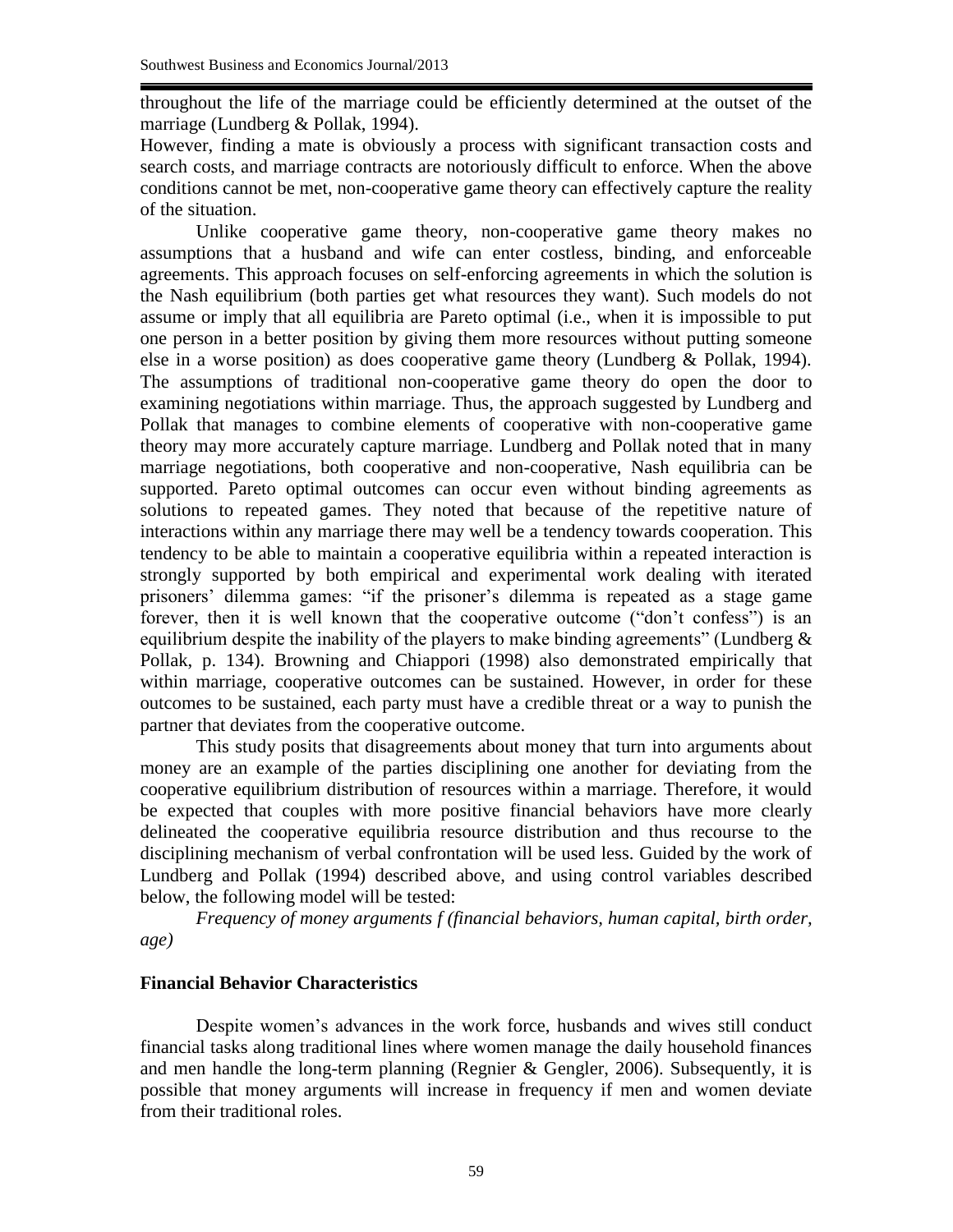throughout the life of the marriage could be efficiently determined at the outset of the marriage (Lundberg & Pollak, 1994).

However, finding a mate is obviously a process with significant transaction costs and search costs, and marriage contracts are notoriously difficult to enforce. When the above conditions cannot be met, non-cooperative game theory can effectively capture the reality of the situation.

Unlike cooperative game theory, non-cooperative game theory makes no assumptions that a husband and wife can enter costless, binding, and enforceable agreements. This approach focuses on self-enforcing agreements in which the solution is the Nash equilibrium (both parties get what resources they want). Such models do not assume or imply that all equilibria are Pareto optimal (i.e., when it is impossible to put one person in a better position by giving them more resources without putting someone else in a worse position) as does cooperative game theory (Lundberg & Pollak, 1994). The assumptions of traditional non-cooperative game theory do open the door to examining negotiations within marriage. Thus, the approach suggested by Lundberg and Pollak that manages to combine elements of cooperative with non-cooperative game theory may more accurately capture marriage. Lundberg and Pollak noted that in many marriage negotiations, both cooperative and non-cooperative, Nash equilibria can be supported. Pareto optimal outcomes can occur even without binding agreements as solutions to repeated games. They noted that because of the repetitive nature of interactions within any marriage there may well be a tendency towards cooperation. This tendency to be able to maintain a cooperative equilibria within a repeated interaction is strongly supported by both empirical and experimental work dealing with iterated prisoners' dilemma games: "if the prisoner's dilemma is repeated as a stage game forever, then it is well known that the cooperative outcome ("don't confess") is an equilibrium despite the inability of the players to make binding agreements" (Lundberg  $\&$ Pollak, p. 134). Browning and Chiappori (1998) also demonstrated empirically that within marriage, cooperative outcomes can be sustained. However, in order for these outcomes to be sustained, each party must have a credible threat or a way to punish the partner that deviates from the cooperative outcome.

This study posits that disagreements about money that turn into arguments about money are an example of the parties disciplining one another for deviating from the cooperative equilibrium distribution of resources within a marriage. Therefore, it would be expected that couples with more positive financial behaviors have more clearly delineated the cooperative equilibria resource distribution and thus recourse to the disciplining mechanism of verbal confrontation will be used less. Guided by the work of Lundberg and Pollak (1994) described above, and using control variables described below, the following model will be tested:

*Frequency of money arguments f (financial behaviors, human capital, birth order, age)*

#### **Financial Behavior Characteristics**

Despite women's advances in the work force, husbands and wives still conduct financial tasks along traditional lines where women manage the daily household finances and men handle the long-term planning (Regnier & Gengler, 2006). Subsequently, it is possible that money arguments will increase in frequency if men and women deviate from their traditional roles.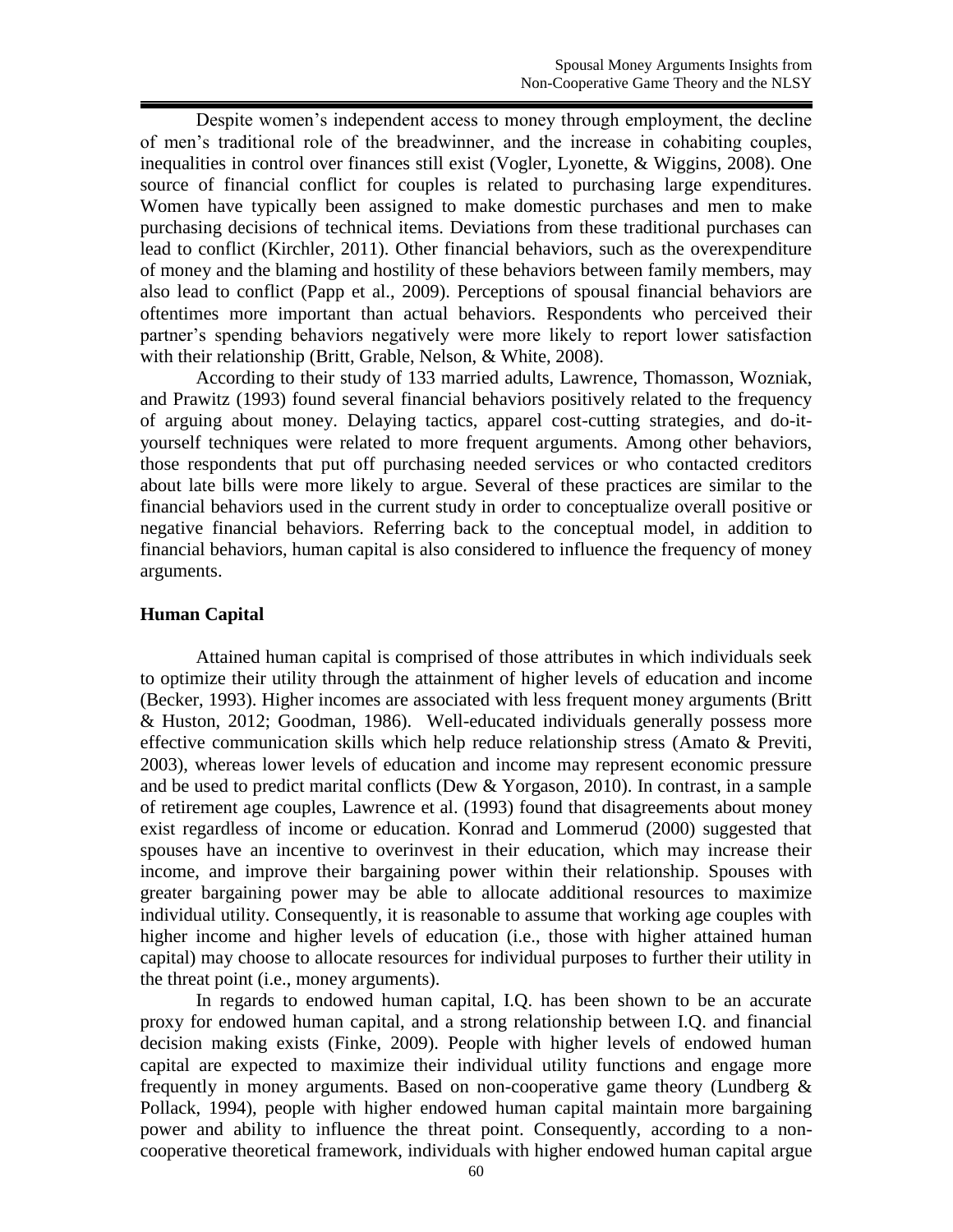Despite women's independent access to money through employment, the decline of men's traditional role of the breadwinner, and the increase in cohabiting couples, inequalities in control over finances still exist (Vogler, Lyonette, & Wiggins, 2008). One source of financial conflict for couples is related to purchasing large expenditures. Women have typically been assigned to make domestic purchases and men to make purchasing decisions of technical items. Deviations from these traditional purchases can lead to conflict (Kirchler, 2011). Other financial behaviors, such as the overexpenditure of money and the blaming and hostility of these behaviors between family members, may also lead to conflict (Papp et al., 2009). Perceptions of spousal financial behaviors are oftentimes more important than actual behaviors. Respondents who perceived their partner's spending behaviors negatively were more likely to report lower satisfaction with their relationship (Britt, Grable, Nelson, & White, 2008).

According to their study of 133 married adults, Lawrence, Thomasson, Wozniak, and Prawitz (1993) found several financial behaviors positively related to the frequency of arguing about money. Delaying tactics, apparel cost-cutting strategies, and do-ityourself techniques were related to more frequent arguments. Among other behaviors, those respondents that put off purchasing needed services or who contacted creditors about late bills were more likely to argue. Several of these practices are similar to the financial behaviors used in the current study in order to conceptualize overall positive or negative financial behaviors. Referring back to the conceptual model, in addition to financial behaviors, human capital is also considered to influence the frequency of money arguments.

## **Human Capital**

Attained human capital is comprised of those attributes in which individuals seek to optimize their utility through the attainment of higher levels of education and income (Becker, 1993). Higher incomes are associated with less frequent money arguments (Britt & Huston, 2012; Goodman, 1986). Well-educated individuals generally possess more effective communication skills which help reduce relationship stress (Amato & Previti, 2003), whereas lower levels of education and income may represent economic pressure and be used to predict marital conflicts (Dew & Yorgason, 2010). In contrast, in a sample of retirement age couples, Lawrence et al. (1993) found that disagreements about money exist regardless of income or education. Konrad and Lommerud (2000) suggested that spouses have an incentive to overinvest in their education, which may increase their income, and improve their bargaining power within their relationship. Spouses with greater bargaining power may be able to allocate additional resources to maximize individual utility. Consequently, it is reasonable to assume that working age couples with higher income and higher levels of education (i.e., those with higher attained human capital) may choose to allocate resources for individual purposes to further their utility in the threat point (i.e., money arguments).

In regards to endowed human capital, I.Q. has been shown to be an accurate proxy for endowed human capital, and a strong relationship between I.Q. and financial decision making exists (Finke, 2009). People with higher levels of endowed human capital are expected to maximize their individual utility functions and engage more frequently in money arguments. Based on non-cooperative game theory (Lundberg  $\&$ Pollack, 1994), people with higher endowed human capital maintain more bargaining power and ability to influence the threat point. Consequently, according to a noncooperative theoretical framework, individuals with higher endowed human capital argue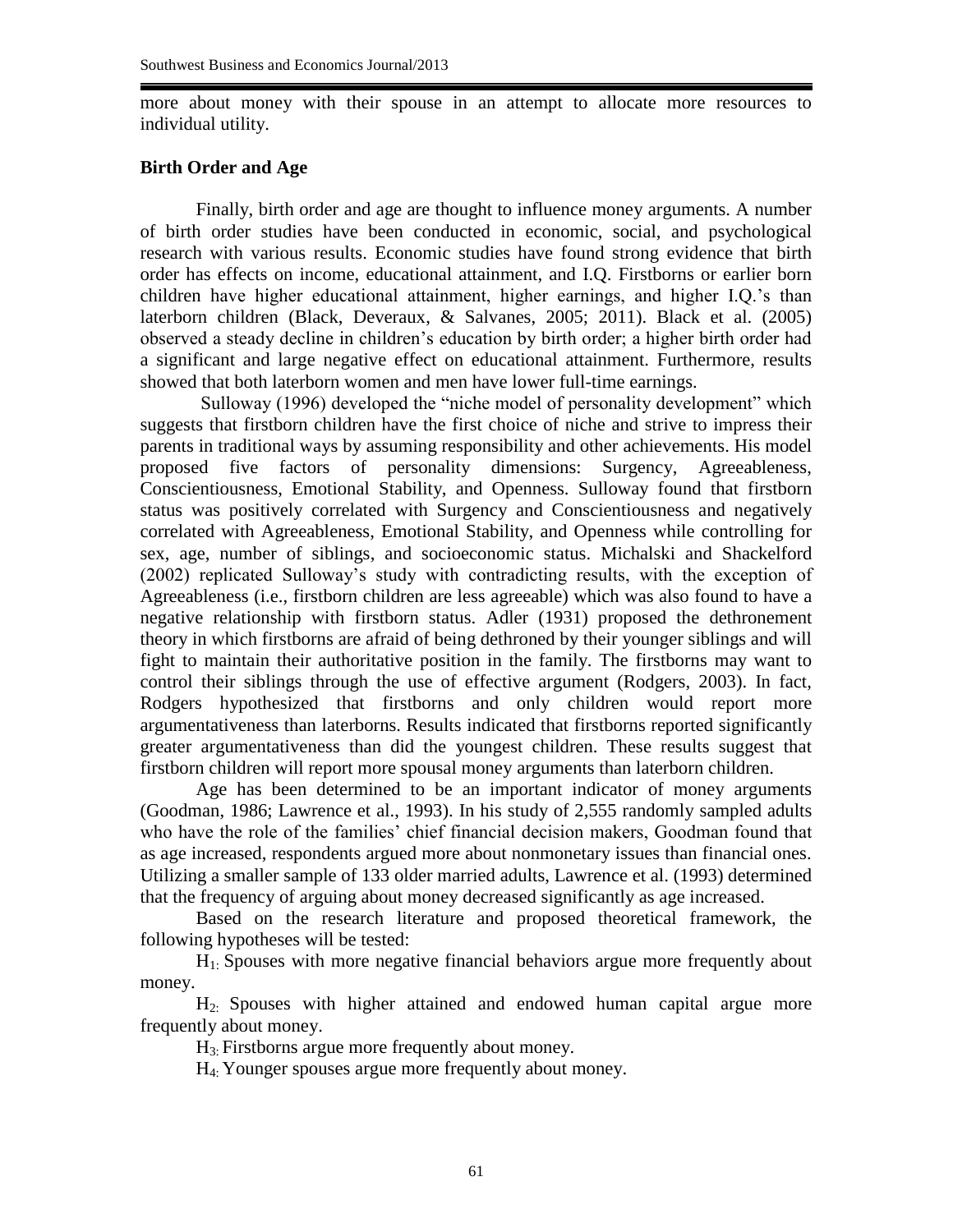more about money with their spouse in an attempt to allocate more resources to individual utility.

#### **Birth Order and Age**

Finally, birth order and age are thought to influence money arguments. A number of birth order studies have been conducted in economic, social, and psychological research with various results. Economic studies have found strong evidence that birth order has effects on income, educational attainment, and I.Q. Firstborns or earlier born children have higher educational attainment, higher earnings, and higher I.Q.'s than laterborn children (Black, Deveraux, & Salvanes, 2005; 2011). Black et al. (2005) observed a steady decline in children's education by birth order; a higher birth order had a significant and large negative effect on educational attainment. Furthermore, results showed that both laterborn women and men have lower full-time earnings.

Sulloway (1996) developed the "niche model of personality development" which suggests that firstborn children have the first choice of niche and strive to impress their parents in traditional ways by assuming responsibility and other achievements. His model proposed five factors of personality dimensions: Surgency, Agreeableness, Conscientiousness, Emotional Stability, and Openness. Sulloway found that firstborn status was positively correlated with Surgency and Conscientiousness and negatively correlated with Agreeableness, Emotional Stability, and Openness while controlling for sex, age, number of siblings, and socioeconomic status. Michalski and Shackelford (2002) replicated Sulloway's study with contradicting results, with the exception of Agreeableness (i.e., firstborn children are less agreeable) which was also found to have a negative relationship with firstborn status. Adler (1931) proposed the dethronement theory in which firstborns are afraid of being dethroned by their younger siblings and will fight to maintain their authoritative position in the family. The firstborns may want to control their siblings through the use of effective argument (Rodgers, 2003). In fact, Rodgers hypothesized that firstborns and only children would report more argumentativeness than laterborns. Results indicated that firstborns reported significantly greater argumentativeness than did the youngest children. These results suggest that firstborn children will report more spousal money arguments than laterborn children.

Age has been determined to be an important indicator of money arguments (Goodman, 1986; Lawrence et al., 1993). In his study of 2,555 randomly sampled adults who have the role of the families' chief financial decision makers, Goodman found that as age increased, respondents argued more about nonmonetary issues than financial ones. Utilizing a smaller sample of 133 older married adults, Lawrence et al. (1993) determined that the frequency of arguing about money decreased significantly as age increased.

Based on the research literature and proposed theoretical framework, the following hypotheses will be tested:

H1: Spouses with more negative financial behaviors argue more frequently about money.

H2: Spouses with higher attained and endowed human capital argue more frequently about money.

 $H_3$ . Firstborns argue more frequently about money.

H4: Younger spouses argue more frequently about money.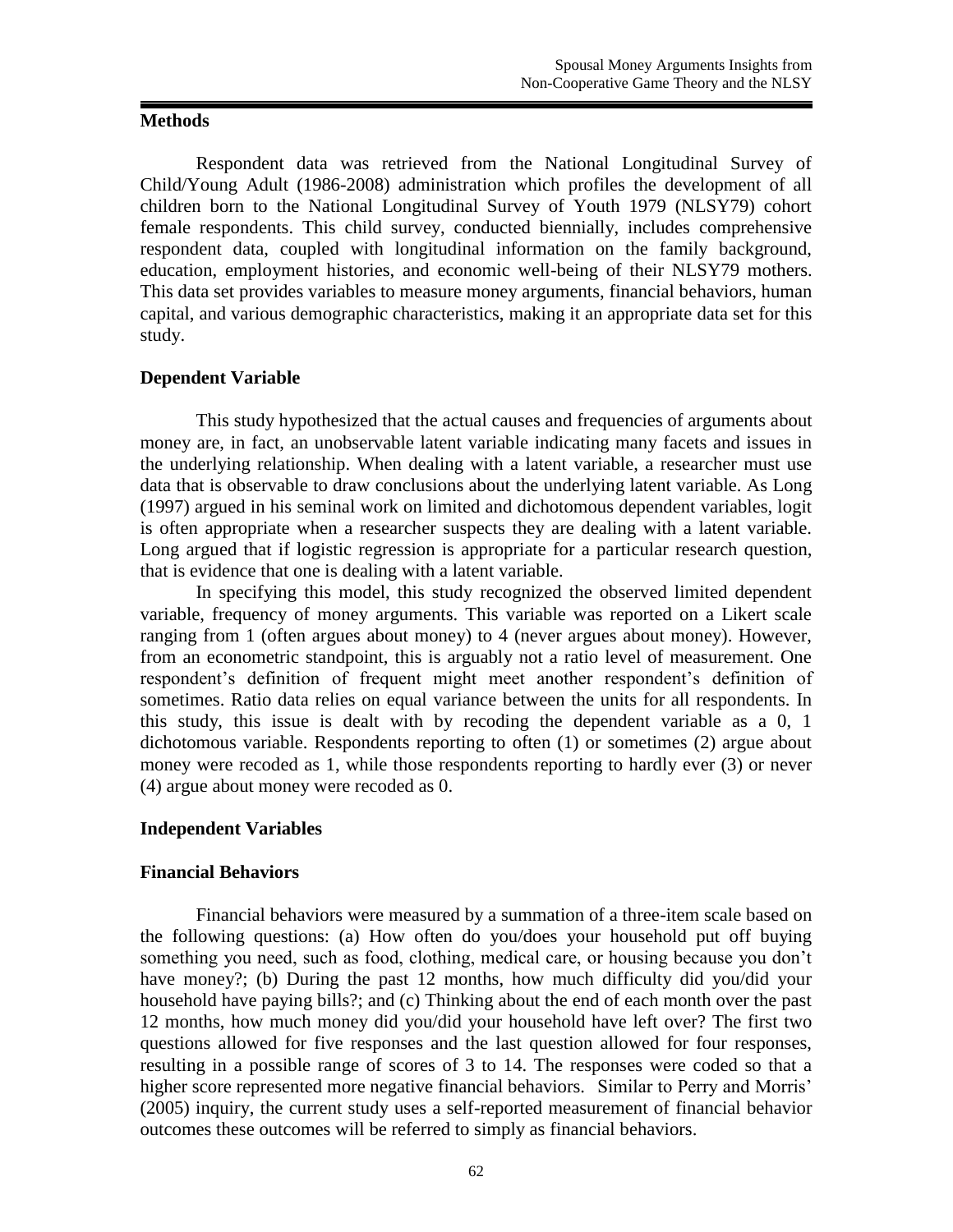### **Methods**

Respondent data was retrieved from the National Longitudinal Survey of Child/Young Adult (1986-2008) administration which profiles the development of all children born to the National Longitudinal Survey of Youth 1979 (NLSY79) cohort female respondents. This child survey, conducted biennially, includes comprehensive respondent data, coupled with longitudinal information on the family background, education, employment histories, and economic well-being of their NLSY79 mothers. This data set provides variables to measure money arguments, financial behaviors, human capital, and various demographic characteristics, making it an appropriate data set for this study.

## **Dependent Variable**

This study hypothesized that the actual causes and frequencies of arguments about money are, in fact, an unobservable latent variable indicating many facets and issues in the underlying relationship. When dealing with a latent variable, a researcher must use data that is observable to draw conclusions about the underlying latent variable. As Long (1997) argued in his seminal work on limited and dichotomous dependent variables, logit is often appropriate when a researcher suspects they are dealing with a latent variable. Long argued that if logistic regression is appropriate for a particular research question, that is evidence that one is dealing with a latent variable.

In specifying this model, this study recognized the observed limited dependent variable, frequency of money arguments. This variable was reported on a Likert scale ranging from 1 (often argues about money) to 4 (never argues about money). However, from an econometric standpoint, this is arguably not a ratio level of measurement. One respondent's definition of frequent might meet another respondent's definition of sometimes. Ratio data relies on equal variance between the units for all respondents. In this study, this issue is dealt with by recoding the dependent variable as a 0, 1 dichotomous variable. Respondents reporting to often (1) or sometimes (2) argue about money were recoded as 1, while those respondents reporting to hardly ever (3) or never (4) argue about money were recoded as 0.

## **Independent Variables**

## **Financial Behaviors**

Financial behaviors were measured by a summation of a three-item scale based on the following questions: (a) How often do you/does your household put off buying something you need, such as food, clothing, medical care, or housing because you don't have money?; (b) During the past 12 months, how much difficulty did you/did your household have paying bills?; and (c) Thinking about the end of each month over the past 12 months, how much money did you/did your household have left over? The first two questions allowed for five responses and the last question allowed for four responses, resulting in a possible range of scores of 3 to 14. The responses were coded so that a higher score represented more negative financial behaviors. Similar to Perry and Morris' (2005) inquiry, the current study uses a self-reported measurement of financial behavior outcomes these outcomes will be referred to simply as financial behaviors.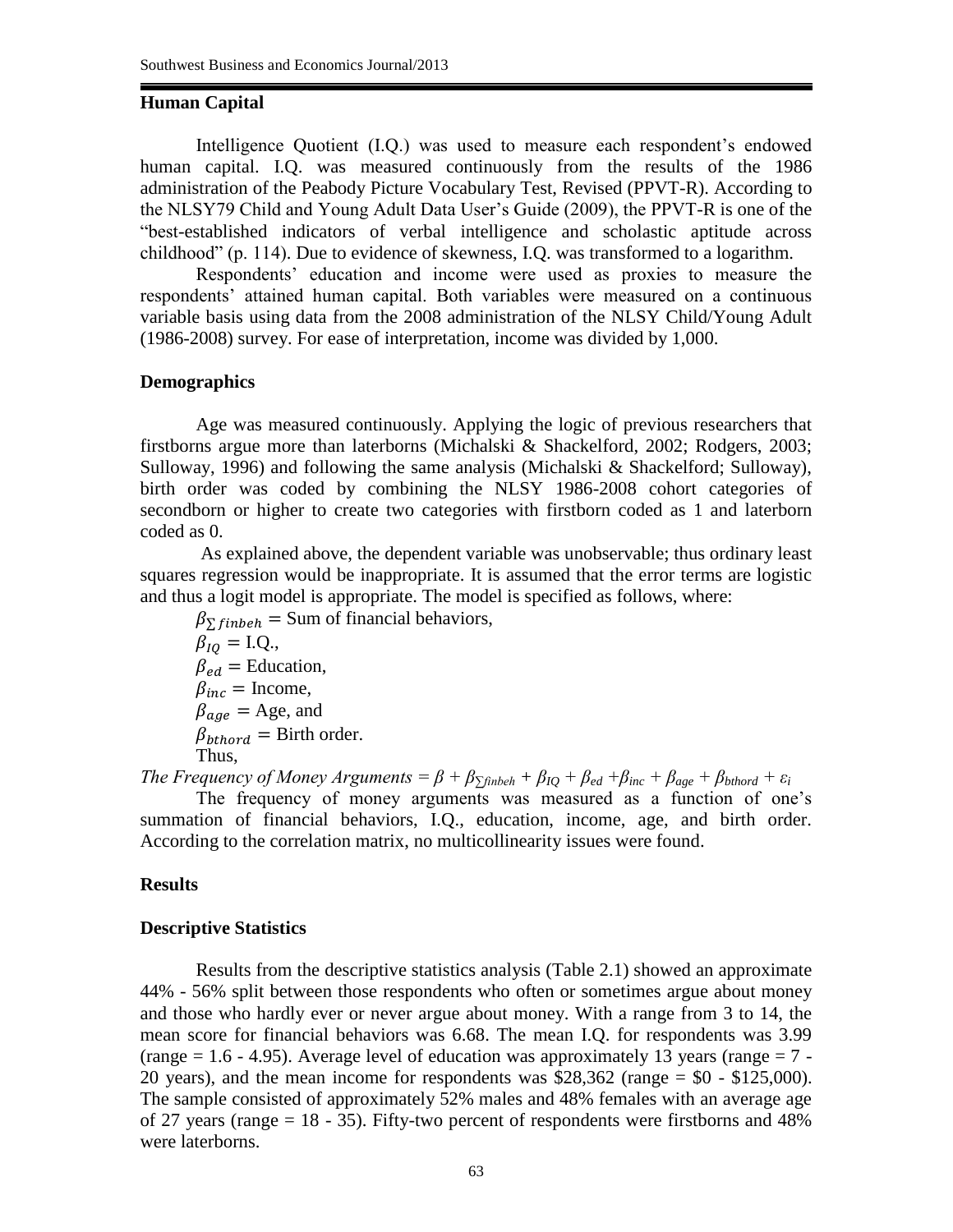#### **Human Capital**

Intelligence Quotient (I.Q.) was used to measure each respondent's endowed human capital. I.Q. was measured continuously from the results of the 1986 administration of the Peabody Picture Vocabulary Test, Revised (PPVT-R). According to the NLSY79 Child and Young Adult Data User's Guide (2009), the PPVT-R is one of the "best-established indicators of verbal intelligence and scholastic aptitude across childhood" (p. 114). Due to evidence of skewness, I.Q. was transformed to a logarithm.

Respondents' education and income were used as proxies to measure the respondents' attained human capital. Both variables were measured on a continuous variable basis using data from the 2008 administration of the NLSY Child/Young Adult (1986-2008) survey. For ease of interpretation, income was divided by 1,000.

#### **Demographics**

Age was measured continuously. Applying the logic of previous researchers that firstborns argue more than laterborns (Michalski & Shackelford, 2002; Rodgers, 2003; Sulloway, 1996) and following the same analysis (Michalski & Shackelford; Sulloway), birth order was coded by combining the NLSY 1986-2008 cohort categories of secondborn or higher to create two categories with firstborn coded as 1 and laterborn coded as 0.

As explained above, the dependent variable was unobservable; thus ordinary least squares regression would be inappropriate. It is assumed that the error terms are logistic and thus a logit model is appropriate. The model is specified as follows, where:

 $\beta_{\Sigma\,\text{finbeh}}$  = Sum of financial behaviors,  $\beta_{10} = I.Q.,$  $\beta_{ed}$  = Education,  $\beta_{inc}$  = Income,  $\beta_{age}$  = Age, and  $\beta_{bthord}$  = Birth order. Thus,

*The Frequency of Money Arguments*  $= \beta + \beta_{\Sigma \text{finbeh}} + \beta_{IQ} + \beta_{ed} + \beta_{inc} + \beta_{age} + \beta_{bthord} + \varepsilon_i$ 

The frequency of money arguments was measured as a function of one's summation of financial behaviors, I.Q., education, income, age, and birth order. According to the correlation matrix, no multicollinearity issues were found.

#### **Results**

#### **Descriptive Statistics**

Results from the descriptive statistics analysis (Table 2.1) showed an approximate 44% - 56% split between those respondents who often or sometimes argue about money and those who hardly ever or never argue about money. With a range from 3 to 14, the mean score for financial behaviors was 6.68. The mean I.Q. for respondents was 3.99 (range  $= 1.6 - 4.95$ ). Average level of education was approximately 13 years (range  $= 7 - 1$ 20 years), and the mean income for respondents was  $$28,362$  (range = \$0 - \$125,000). The sample consisted of approximately 52% males and 48% females with an average age of 27 years (range = 18 - 35). Fifty-two percent of respondents were firstborns and 48% were laterborns.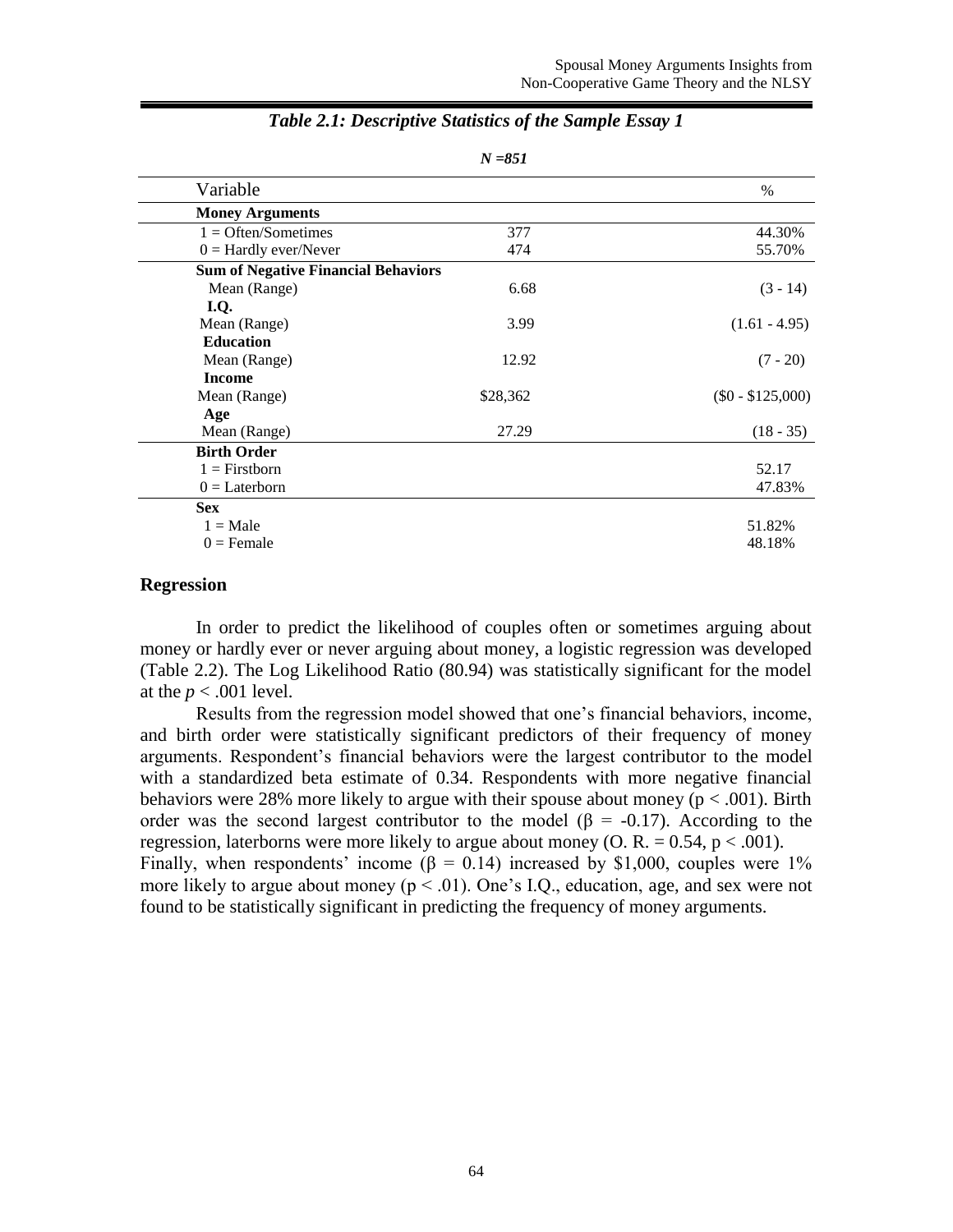| Variable                                   |          | $\%$              |
|--------------------------------------------|----------|-------------------|
| <b>Money Arguments</b>                     |          |                   |
| $1 =$ Often/Sometimes                      | 377      | 44.30%            |
| $0 =$ Hardly ever/Never                    | 474      | 55.70%            |
| <b>Sum of Negative Financial Behaviors</b> |          |                   |
| Mean (Range)                               | 6.68     | $(3 - 14)$        |
| I.Q.                                       |          |                   |
| Mean (Range)                               | 3.99     | $(1.61 - 4.95)$   |
| <b>Education</b>                           |          |                   |
| Mean (Range)                               | 12.92    | $(7 - 20)$        |
| <b>Income</b>                              |          |                   |
| Mean (Range)                               | \$28,362 | $($0 - $125,000)$ |
| Age                                        |          |                   |
| Mean (Range)                               | 27.29    | $(18 - 35)$       |
| <b>Birth Order</b>                         |          |                   |
| $1 =$ Firstborn                            |          | 52.17             |
| $0 =$ Laterborn                            |          | 47.83%            |
| <b>Sex</b>                                 |          |                   |
| $1 = Male$                                 |          | 51.82%            |
| $0 =$ Female                               |          | 48.18%            |
|                                            |          |                   |

## *Table 2.1: Descriptive Statistics of the Sample Essay 1*

*N =851*

# **Regression**

In order to predict the likelihood of couples often or sometimes arguing about money or hardly ever or never arguing about money, a logistic regression was developed (Table 2.2). The Log Likelihood Ratio (80.94) was statistically significant for the model at the  $p < .001$  level.

Results from the regression model showed that one's financial behaviors, income, and birth order were statistically significant predictors of their frequency of money arguments. Respondent's financial behaviors were the largest contributor to the model with a standardized beta estimate of 0.34. Respondents with more negative financial behaviors were 28% more likely to argue with their spouse about money ( $p < .001$ ). Birth order was the second largest contributor to the model ( $\beta$  = -0.17). According to the regression, laterborns were more likely to argue about money (O. R. =  $0.54$ , p < .001). Finally, when respondents' income ( $\beta = 0.14$ ) increased by \$1,000, couples were 1% more likely to argue about money ( $p < 0.01$ ). One's I.Q., education, age, and sex were not found to be statistically significant in predicting the frequency of money arguments.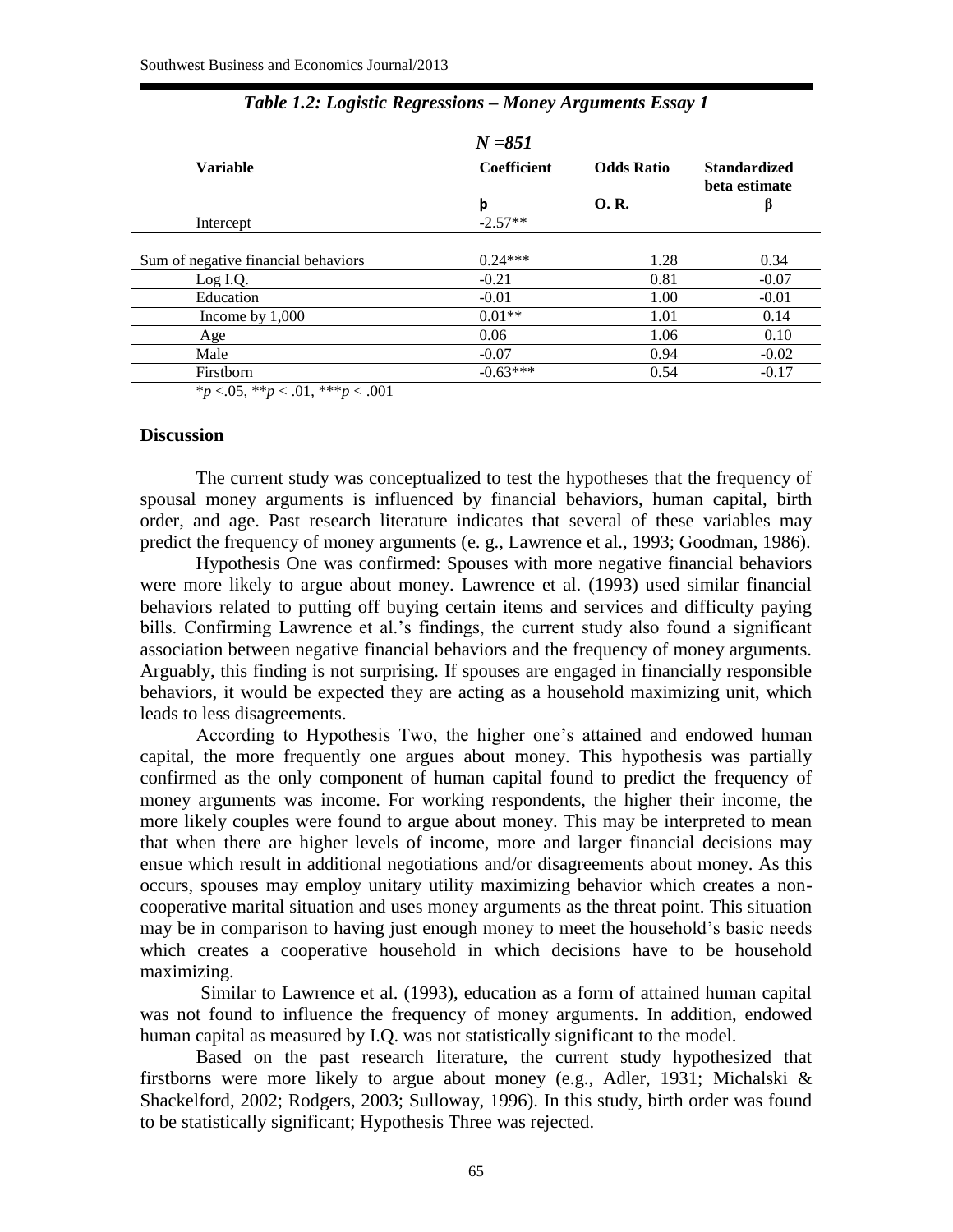|                                     | $N = 851$   |                   |                                      |
|-------------------------------------|-------------|-------------------|--------------------------------------|
| <b>Variable</b>                     | Coefficient | <b>Odds Ratio</b> | <b>Standardized</b><br>beta estimate |
|                                     | þ           | 0.R.              |                                      |
| Intercept                           | $-2.57**$   |                   |                                      |
|                                     |             |                   |                                      |
| Sum of negative financial behaviors | $0.24***$   | 1.28              | 0.34                                 |
| Log I.Q.                            | $-0.21$     | 0.81              | $-0.07$                              |
| Education                           | $-0.01$     | 1.00              | $-0.01$                              |
| Income by $1,000$                   | $0.01**$    | 1.01              | 0.14                                 |
| Age                                 | 0.06        | 1.06              | 0.10                                 |
| Male                                | $-0.07$     | 0.94              | $-0.02$                              |
| Firstborn                           | $-0.63***$  | 0.54              | $-0.17$                              |
| *p <.05, **p < .01, ***p < .001     |             |                   |                                      |

## *Table 1.2: Logistic Regressions – Money Arguments Essay 1*

#### **Discussion**

The current study was conceptualized to test the hypotheses that the frequency of spousal money arguments is influenced by financial behaviors, human capital, birth order, and age. Past research literature indicates that several of these variables may predict the frequency of money arguments (e. g., Lawrence et al., 1993; Goodman, 1986).

Hypothesis One was confirmed: Spouses with more negative financial behaviors were more likely to argue about money. Lawrence et al. (1993) used similar financial behaviors related to putting off buying certain items and services and difficulty paying bills. Confirming Lawrence et al.'s findings, the current study also found a significant association between negative financial behaviors and the frequency of money arguments. Arguably, this finding is not surprising. If spouses are engaged in financially responsible behaviors, it would be expected they are acting as a household maximizing unit, which leads to less disagreements.

According to Hypothesis Two, the higher one's attained and endowed human capital, the more frequently one argues about money. This hypothesis was partially confirmed as the only component of human capital found to predict the frequency of money arguments was income. For working respondents, the higher their income, the more likely couples were found to argue about money. This may be interpreted to mean that when there are higher levels of income, more and larger financial decisions may ensue which result in additional negotiations and/or disagreements about money. As this occurs, spouses may employ unitary utility maximizing behavior which creates a noncooperative marital situation and uses money arguments as the threat point. This situation may be in comparison to having just enough money to meet the household's basic needs which creates a cooperative household in which decisions have to be household maximizing.

Similar to Lawrence et al. (1993), education as a form of attained human capital was not found to influence the frequency of money arguments. In addition, endowed human capital as measured by I.Q. was not statistically significant to the model.

Based on the past research literature, the current study hypothesized that firstborns were more likely to argue about money (e.g., Adler, 1931; Michalski & Shackelford, 2002; Rodgers, 2003; Sulloway, 1996). In this study, birth order was found to be statistically significant; Hypothesis Three was rejected.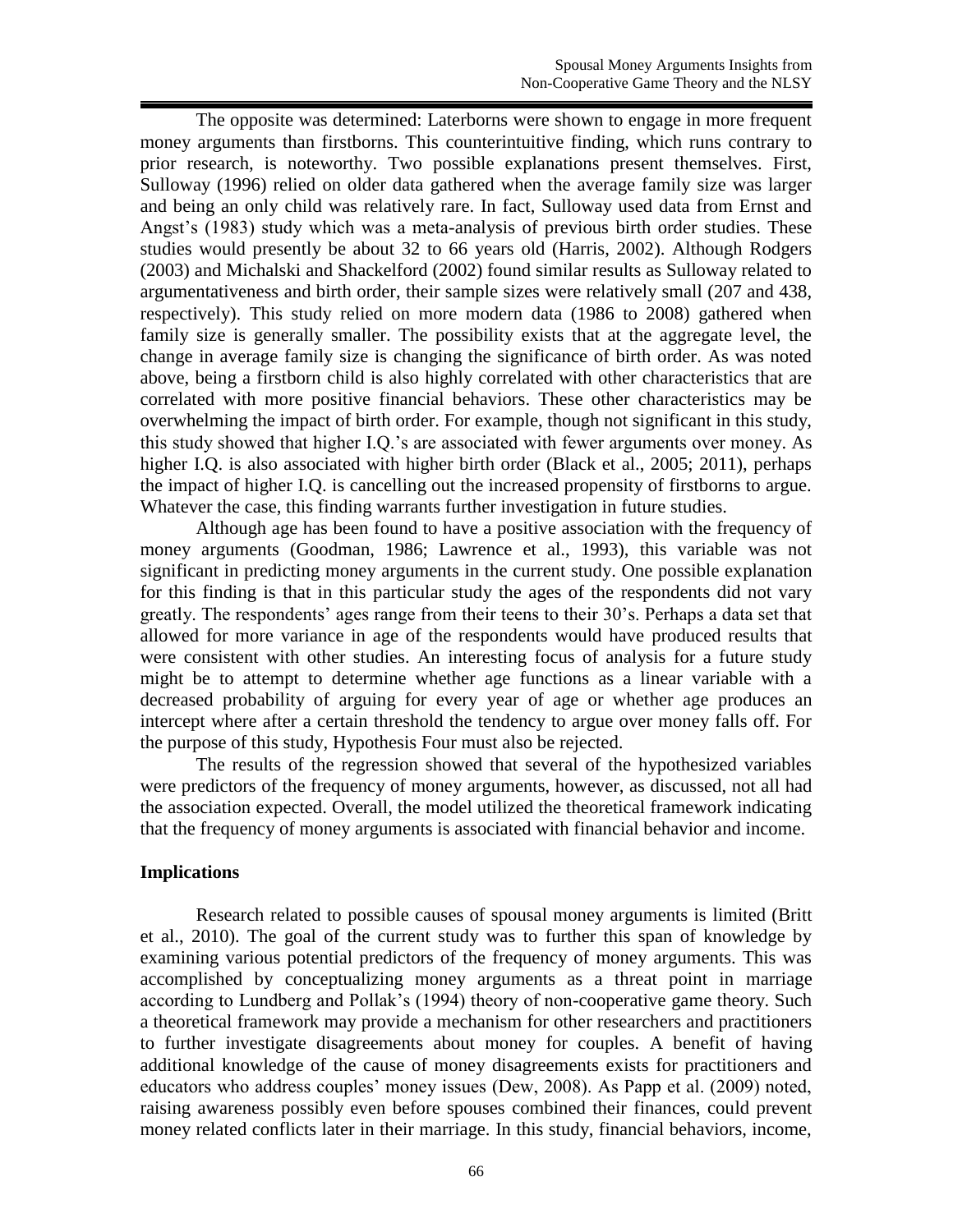The opposite was determined: Laterborns were shown to engage in more frequent money arguments than firstborns. This counterintuitive finding, which runs contrary to prior research, is noteworthy. Two possible explanations present themselves. First, Sulloway (1996) relied on older data gathered when the average family size was larger and being an only child was relatively rare. In fact, Sulloway used data from Ernst and Angst's (1983) study which was a meta-analysis of previous birth order studies. These studies would presently be about 32 to 66 years old (Harris, 2002). Although Rodgers (2003) and Michalski and Shackelford (2002) found similar results as Sulloway related to argumentativeness and birth order, their sample sizes were relatively small (207 and 438, respectively). This study relied on more modern data (1986 to 2008) gathered when family size is generally smaller. The possibility exists that at the aggregate level, the change in average family size is changing the significance of birth order. As was noted above, being a firstborn child is also highly correlated with other characteristics that are correlated with more positive financial behaviors. These other characteristics may be overwhelming the impact of birth order. For example, though not significant in this study, this study showed that higher I.Q.'s are associated with fewer arguments over money. As higher I.Q. is also associated with higher birth order (Black et al., 2005; 2011), perhaps the impact of higher I.Q. is cancelling out the increased propensity of firstborns to argue. Whatever the case, this finding warrants further investigation in future studies.

Although age has been found to have a positive association with the frequency of money arguments (Goodman, 1986; Lawrence et al., 1993), this variable was not significant in predicting money arguments in the current study. One possible explanation for this finding is that in this particular study the ages of the respondents did not vary greatly. The respondents' ages range from their teens to their 30's. Perhaps a data set that allowed for more variance in age of the respondents would have produced results that were consistent with other studies. An interesting focus of analysis for a future study might be to attempt to determine whether age functions as a linear variable with a decreased probability of arguing for every year of age or whether age produces an intercept where after a certain threshold the tendency to argue over money falls off. For the purpose of this study, Hypothesis Four must also be rejected.

The results of the regression showed that several of the hypothesized variables were predictors of the frequency of money arguments, however, as discussed, not all had the association expected. Overall, the model utilized the theoretical framework indicating that the frequency of money arguments is associated with financial behavior and income.

## **Implications**

Research related to possible causes of spousal money arguments is limited (Britt et al., 2010). The goal of the current study was to further this span of knowledge by examining various potential predictors of the frequency of money arguments. This was accomplished by conceptualizing money arguments as a threat point in marriage according to Lundberg and Pollak's (1994) theory of non-cooperative game theory. Such a theoretical framework may provide a mechanism for other researchers and practitioners to further investigate disagreements about money for couples. A benefit of having additional knowledge of the cause of money disagreements exists for practitioners and educators who address couples' money issues (Dew, 2008). As Papp et al. (2009) noted, raising awareness possibly even before spouses combined their finances, could prevent money related conflicts later in their marriage. In this study, financial behaviors, income,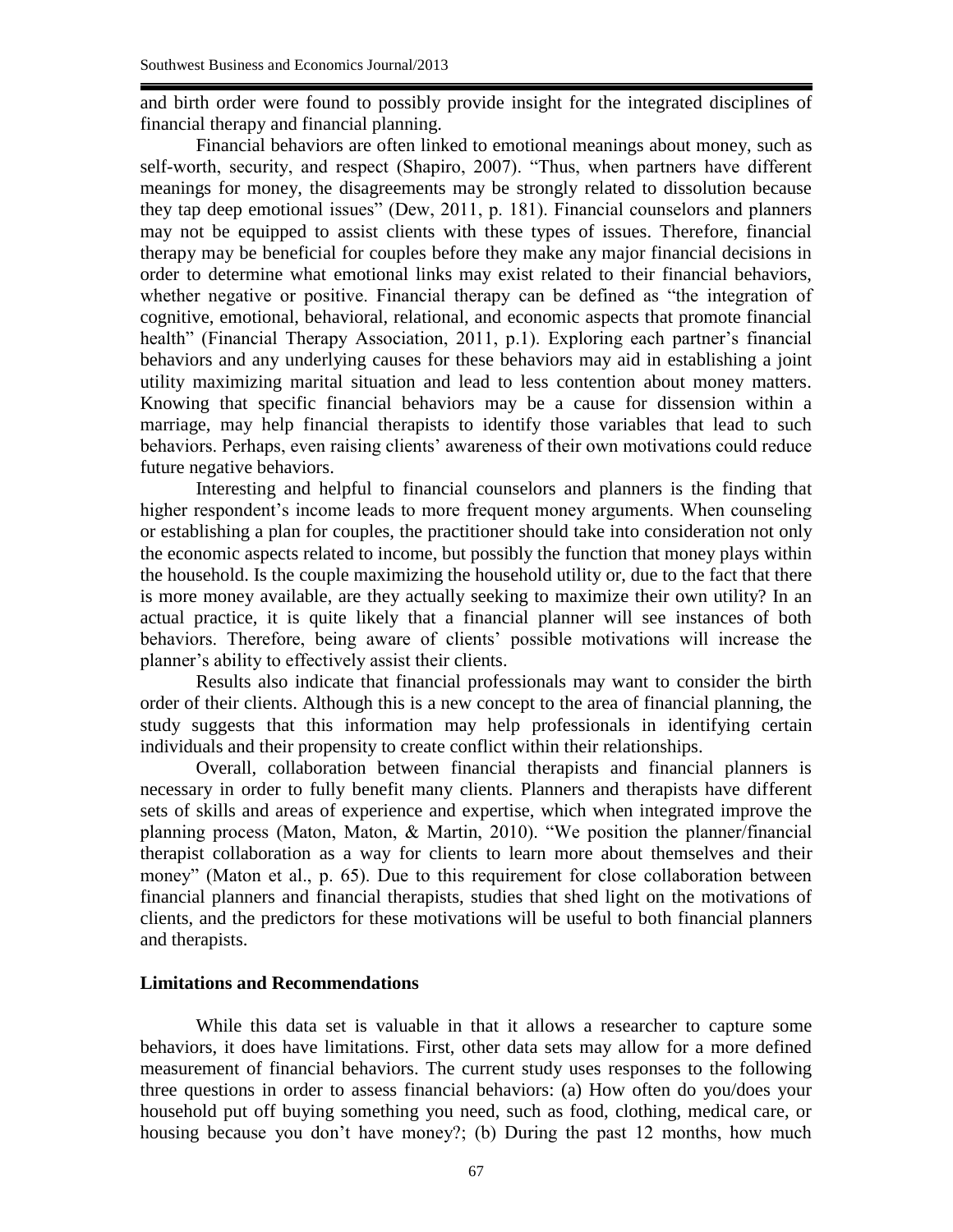and birth order were found to possibly provide insight for the integrated disciplines of financial therapy and financial planning.

Financial behaviors are often linked to emotional meanings about money, such as self-worth, security, and respect (Shapiro, 2007). "Thus, when partners have different meanings for money, the disagreements may be strongly related to dissolution because they tap deep emotional issues" (Dew, 2011, p. 181). Financial counselors and planners may not be equipped to assist clients with these types of issues. Therefore, financial therapy may be beneficial for couples before they make any major financial decisions in order to determine what emotional links may exist related to their financial behaviors, whether negative or positive. Financial therapy can be defined as "the integration of cognitive, emotional, behavioral, relational, and economic aspects that promote financial health" (Financial Therapy Association, 2011, p.1). Exploring each partner's financial behaviors and any underlying causes for these behaviors may aid in establishing a joint utility maximizing marital situation and lead to less contention about money matters. Knowing that specific financial behaviors may be a cause for dissension within a marriage, may help financial therapists to identify those variables that lead to such behaviors. Perhaps, even raising clients' awareness of their own motivations could reduce future negative behaviors.

Interesting and helpful to financial counselors and planners is the finding that higher respondent's income leads to more frequent money arguments. When counseling or establishing a plan for couples, the practitioner should take into consideration not only the economic aspects related to income, but possibly the function that money plays within the household. Is the couple maximizing the household utility or, due to the fact that there is more money available, are they actually seeking to maximize their own utility? In an actual practice, it is quite likely that a financial planner will see instances of both behaviors. Therefore, being aware of clients' possible motivations will increase the planner's ability to effectively assist their clients.

Results also indicate that financial professionals may want to consider the birth order of their clients. Although this is a new concept to the area of financial planning, the study suggests that this information may help professionals in identifying certain individuals and their propensity to create conflict within their relationships.

Overall, collaboration between financial therapists and financial planners is necessary in order to fully benefit many clients. Planners and therapists have different sets of skills and areas of experience and expertise, which when integrated improve the planning process (Maton, Maton, & Martin, 2010). "We position the planner/financial therapist collaboration as a way for clients to learn more about themselves and their money" (Maton et al., p. 65). Due to this requirement for close collaboration between financial planners and financial therapists, studies that shed light on the motivations of clients, and the predictors for these motivations will be useful to both financial planners and therapists.

## **Limitations and Recommendations**

While this data set is valuable in that it allows a researcher to capture some behaviors, it does have limitations. First, other data sets may allow for a more defined measurement of financial behaviors. The current study uses responses to the following three questions in order to assess financial behaviors: (a) How often do you/does your household put off buying something you need, such as food, clothing, medical care, or housing because you don't have money?; (b) During the past 12 months, how much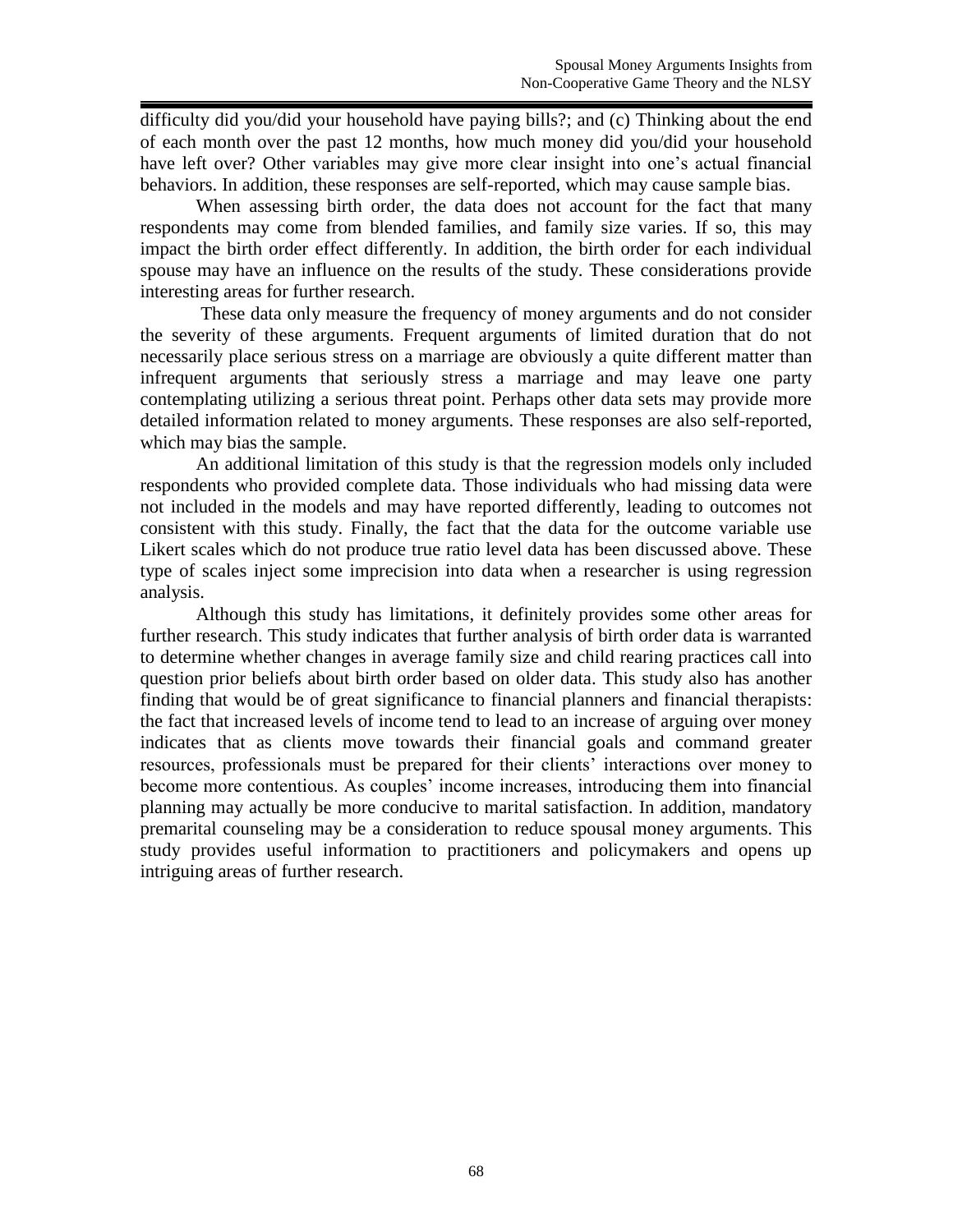difficulty did you/did your household have paying bills?; and (c) Thinking about the end of each month over the past 12 months, how much money did you/did your household have left over? Other variables may give more clear insight into one's actual financial behaviors. In addition, these responses are self-reported, which may cause sample bias.

When assessing birth order, the data does not account for the fact that many respondents may come from blended families, and family size varies. If so, this may impact the birth order effect differently. In addition, the birth order for each individual spouse may have an influence on the results of the study. These considerations provide interesting areas for further research.

These data only measure the frequency of money arguments and do not consider the severity of these arguments. Frequent arguments of limited duration that do not necessarily place serious stress on a marriage are obviously a quite different matter than infrequent arguments that seriously stress a marriage and may leave one party contemplating utilizing a serious threat point. Perhaps other data sets may provide more detailed information related to money arguments. These responses are also self-reported, which may bias the sample.

An additional limitation of this study is that the regression models only included respondents who provided complete data. Those individuals who had missing data were not included in the models and may have reported differently, leading to outcomes not consistent with this study. Finally, the fact that the data for the outcome variable use Likert scales which do not produce true ratio level data has been discussed above. These type of scales inject some imprecision into data when a researcher is using regression analysis.

Although this study has limitations, it definitely provides some other areas for further research. This study indicates that further analysis of birth order data is warranted to determine whether changes in average family size and child rearing practices call into question prior beliefs about birth order based on older data. This study also has another finding that would be of great significance to financial planners and financial therapists: the fact that increased levels of income tend to lead to an increase of arguing over money indicates that as clients move towards their financial goals and command greater resources, professionals must be prepared for their clients' interactions over money to become more contentious. As couples' income increases, introducing them into financial planning may actually be more conducive to marital satisfaction. In addition, mandatory premarital counseling may be a consideration to reduce spousal money arguments. This study provides useful information to practitioners and policymakers and opens up intriguing areas of further research.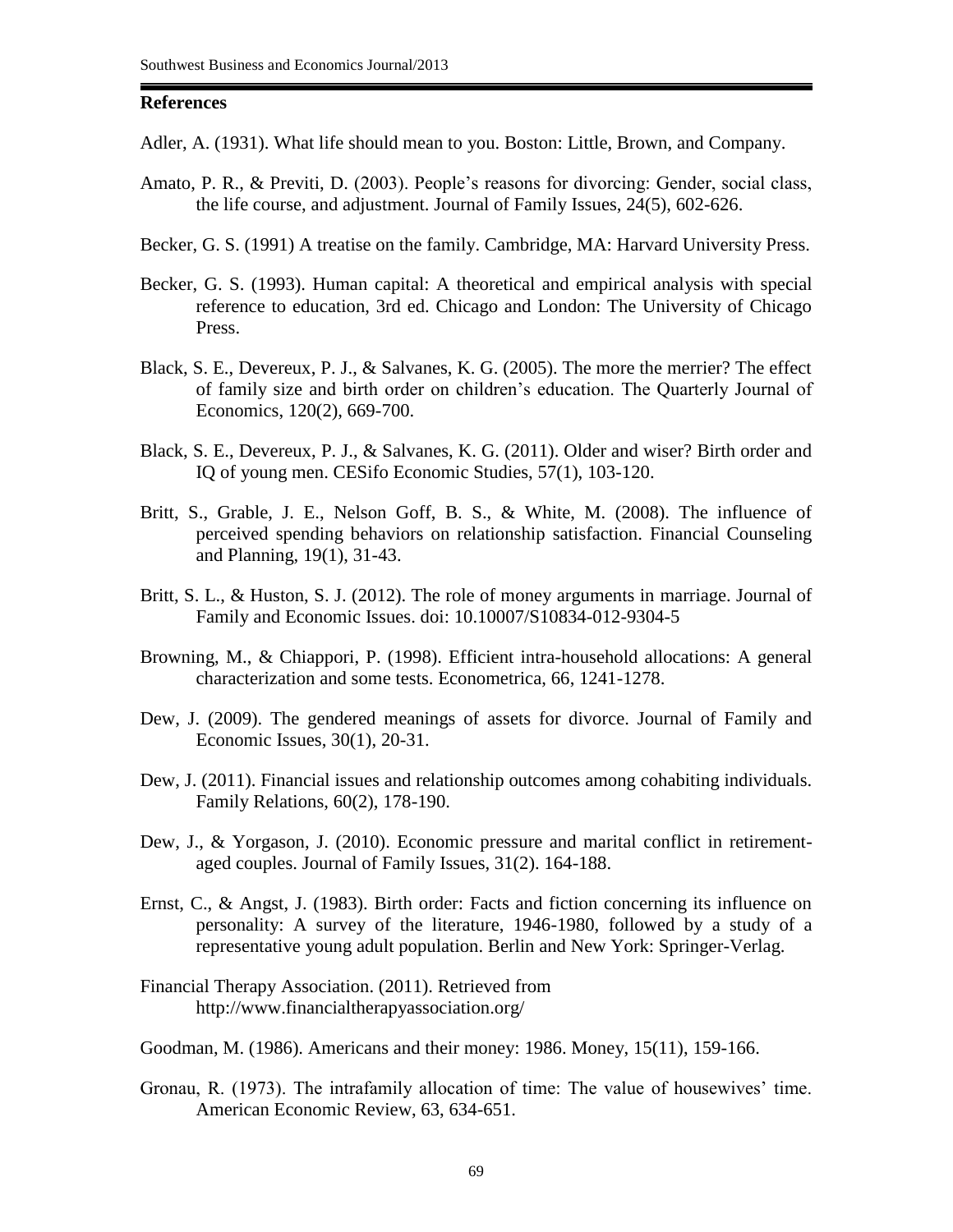#### **References**

- Adler, A. (1931). What life should mean to you. Boston: Little, Brown, and Company.
- Amato, P. R., & Previti, D. (2003). People's reasons for divorcing: Gender, social class, the life course, and adjustment. Journal of Family Issues, 24(5), 602-626.
- Becker, G. S. (1991) A treatise on the family. Cambridge, MA: Harvard University Press.
- Becker, G. S. (1993). Human capital: A theoretical and empirical analysis with special reference to education, 3rd ed. Chicago and London: The University of Chicago Press.
- Black, S. E., Devereux, P. J., & Salvanes, K. G. (2005). The more the merrier? The effect of family size and birth order on children's education. The Quarterly Journal of Economics, 120(2), 669-700.
- Black, S. E., Devereux, P. J., & Salvanes, K. G. (2011). Older and wiser? Birth order and IQ of young men. CESifo Economic Studies, 57(1), 103-120.
- Britt, S., Grable, J. E., Nelson Goff, B. S., & White, M. (2008). The influence of perceived spending behaviors on relationship satisfaction. Financial Counseling and Planning, 19(1), 31-43.
- Britt, S. L., & Huston, S. J. (2012). The role of money arguments in marriage. Journal of Family and Economic Issues. doi: 10.10007/S10834-012-9304-5
- Browning, M., & Chiappori, P. (1998). Efficient intra-household allocations: A general characterization and some tests. Econometrica, 66, 1241-1278.
- Dew, J. (2009). The gendered meanings of assets for divorce. Journal of Family and Economic Issues, 30(1), 20-31.
- Dew, J. (2011). Financial issues and relationship outcomes among cohabiting individuals. Family Relations, 60(2), 178-190.
- Dew, J., & Yorgason, J. (2010). Economic pressure and marital conflict in retirementaged couples. Journal of Family Issues, 31(2). 164-188.
- Ernst, C., & Angst, J. (1983). Birth order: Facts and fiction concerning its influence on personality: A survey of the literature, 1946-1980, followed by a study of a representative young adult population. Berlin and New York: Springer-Verlag.
- Financial Therapy Association. (2011). Retrieved from http://www.financialtherapyassociation.org/
- Goodman, M. (1986). Americans and their money: 1986. Money, 15(11), 159-166.
- Gronau, R. (1973). The intrafamily allocation of time: The value of housewives' time. American Economic Review, 63, 634-651.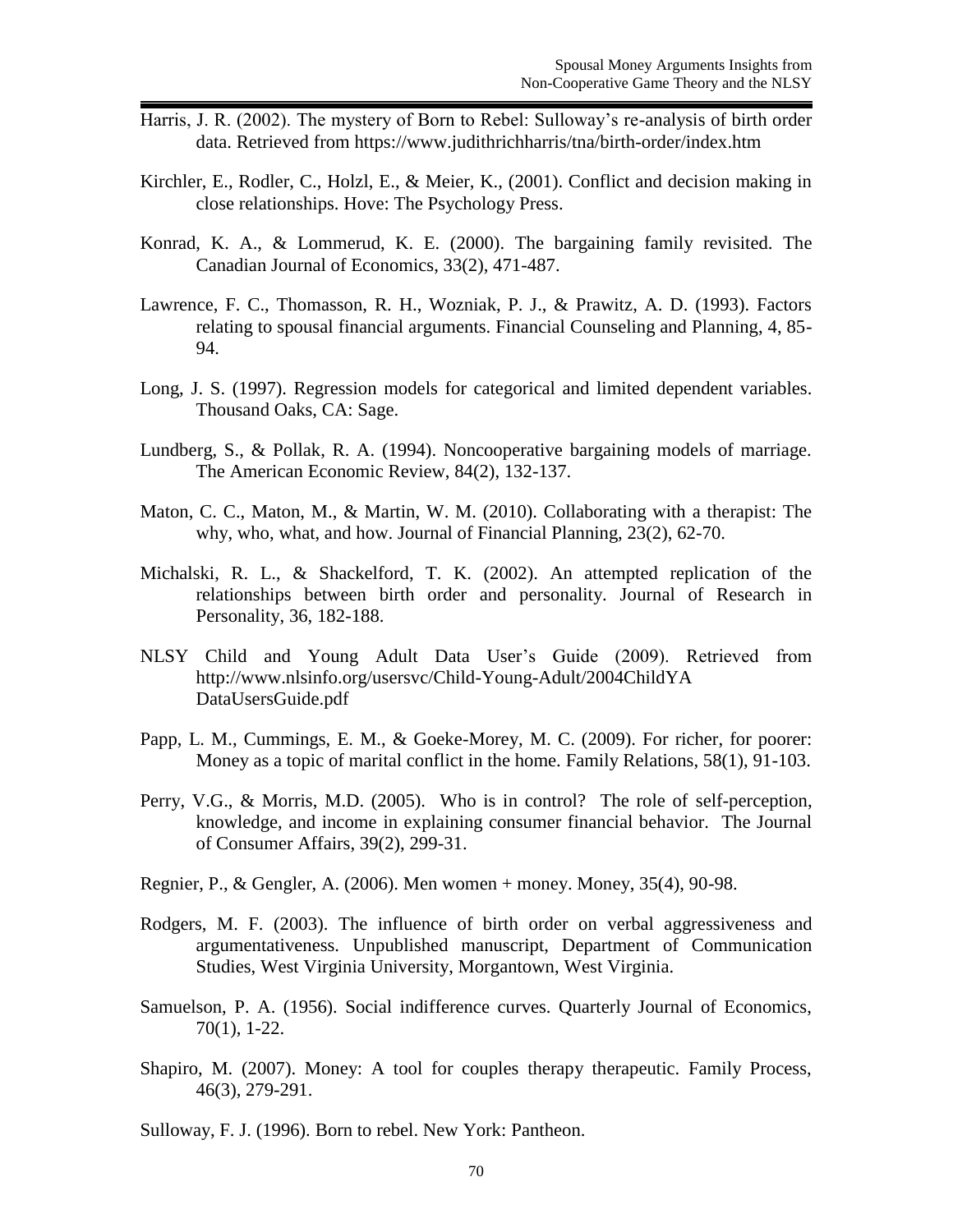- Harris, J. R. (2002). The mystery of Born to Rebel: Sulloway's re-analysis of birth order data. Retrieved from https://www.judithrichharris/tna/birth-order/index.htm
- Kirchler, E., Rodler, C., Holzl, E., & Meier, K., (2001). Conflict and decision making in close relationships. Hove: The Psychology Press.
- Konrad, K. A., & Lommerud, K. E. (2000). The bargaining family revisited. The Canadian Journal of Economics, 33(2), 471-487.
- Lawrence, F. C., Thomasson, R. H., Wozniak, P. J., & Prawitz, A. D. (1993). Factors relating to spousal financial arguments. Financial Counseling and Planning, 4, 85- 94.
- Long, J. S. (1997). Regression models for categorical and limited dependent variables. Thousand Oaks, CA: Sage.
- Lundberg, S., & Pollak, R. A. (1994). Noncooperative bargaining models of marriage. The American Economic Review, 84(2), 132-137.
- Maton, C. C., Maton, M., & Martin, W. M. (2010). Collaborating with a therapist: The why, who, what, and how. Journal of Financial Planning, 23(2), 62-70.
- Michalski, R. L., & Shackelford, T. K. (2002). An attempted replication of the relationships between birth order and personality. Journal of Research in Personality, 36, 182-188.
- NLSY Child and Young Adult Data User's Guide (2009). Retrieved from <http://www.nlsinfo.org/usersvc/Child-Young-Adult/2004ChildYA> DataUsersGuide.pdf
- Papp, L. M., Cummings, E. M., & Goeke-Morey, M. C. (2009). For richer, for poorer: Money as a topic of marital conflict in the home. Family Relations, 58(1), 91-103.
- Perry, V.G., & Morris, M.D. (2005). Who is in control? The role of self-perception, knowledge, and income in explaining consumer financial behavior. The Journal of Consumer Affairs, 39(2), 299-31.
- Regnier, P., & Gengler, A. (2006). Men women + money. Money, 35(4), 90-98.
- Rodgers, M. F. (2003). The influence of birth order on verbal aggressiveness and argumentativeness. Unpublished manuscript, Department of Communication Studies, West Virginia University, Morgantown, West Virginia.
- Samuelson, P. A. (1956). Social indifference curves. Quarterly Journal of Economics, 70(1), 1-22.
- Shapiro, M. (2007). Money: A tool for couples therapy therapeutic. Family Process, 46(3), 279-291.
- Sulloway, F. J. (1996). Born to rebel. New York: Pantheon.